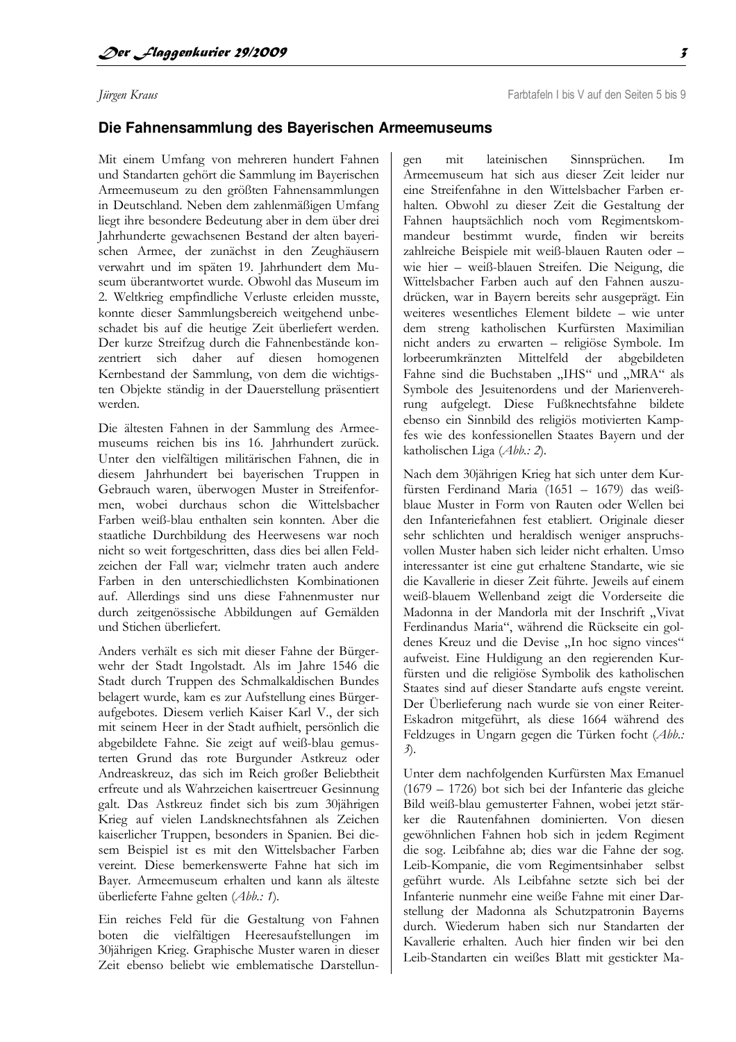## Jürgen Kraus

## Die Fahnensammlung des Bayerischen Armeemuseums

Mit einem Umfang von mehreren hundert Fahnen und Standarten gehört die Sammlung im Bayerischen Armeemuseum zu den größten Fahnensammlungen in Deutschland. Neben dem zahlenmäßigen Umfang liegt ihre besondere Bedeutung aber in dem über drei Jahrhunderte gewachsenen Bestand der alten bayerischen Armee, der zunächst in den Zeughäusern verwahrt und im späten 19. Jahrhundert dem Museum überantwortet wurde. Obwohl das Museum im 2. Weltkrieg empfindliche Verluste erleiden musste, konnte dieser Sammlungsbereich weitgehend unbeschadet bis auf die heutige Zeit überliefert werden. Der kurze Streifzug durch die Fahnenbestände konzentriert sich daher auf diesen homogenen Kernbestand der Sammlung, von dem die wichtigsten Objekte ständig in der Dauerstellung präsentiert werden

Die ältesten Fahnen in der Sammlung des Armeemuseums reichen bis ins 16. Jahrhundert zurück. Unter den vielfältigen militärischen Fahnen, die in diesem Jahrhundert bei bayerischen Truppen in Gebrauch waren, überwogen Muster in Streifenformen, wobei durchaus schon die Wittelsbacher Farben weiß-blau enthalten sein konnten. Aber die staatliche Durchbildung des Heerwesens war noch nicht so weit fortgeschritten, dass dies bei allen Feldzeichen der Fall war; vielmehr traten auch andere Farben in den unterschiedlichsten Kombinationen auf. Allerdings sind uns diese Fahnenmuster nur durch zeitgenössische Abbildungen auf Gemälden und Stichen überliefert.

Anders verhält es sich mit dieser Fahne der Bürgerwehr der Stadt Ingolstadt. Als im Jahre 1546 die Stadt durch Truppen des Schmalkaldischen Bundes belagert wurde, kam es zur Aufstellung eines Bürgeraufgebotes. Diesem verlieh Kaiser Karl V., der sich mit seinem Heer in der Stadt aufhielt, persönlich die abgebildete Fahne. Sie zeigt auf weiß-blau gemusterten Grund das rote Burgunder Astkreuz oder Andreaskreuz, das sich im Reich großer Beliebtheit erfreute und als Wahrzeichen kaisertreuer Gesinnung galt. Das Astkreuz findet sich bis zum 30jährigen Krieg auf vielen Landsknechtsfahnen als Zeichen kaiserlicher Truppen, besonders in Spanien. Bei diesem Beispiel ist es mit den Wittelsbacher Farben vereint. Diese bemerkenswerte Fahne hat sich im Bayer. Armeemuseum erhalten und kann als älteste überlieferte Fahne gelten (Abb.: 1).

Ein reiches Feld für die Gestaltung von Fahnen boten die vielfältigen Heeresaufstellungen im 30jährigen Krieg. Graphische Muster waren in dieser Zeit ebenso beliebt wie emblematische Darstellun-

lateinischen Sinnsprüchen.  $Im$ gen mit Armeemuseum hat sich aus dieser Zeit leider nur eine Streifenfahne in den Wittelsbacher Farben erhalten. Obwohl zu dieser Zeit die Gestaltung der Fahnen hauptsächlich noch vom Regimentskommandeur bestimmt wurde, finden wir bereits zahlreiche Beispiele mit weiß-blauen Rauten oder wie hier – weiß-blauen Streifen. Die Neigung, die Wittelsbacher Farben auch auf den Fahnen auszudrücken, war in Bayern bereits sehr ausgeprägt. Ein weiteres wesentliches Element bildete - wie unter dem streng katholischen Kurfürsten Maximilian nicht anders zu erwarten - religiöse Symbole. Im lorbeerumkränzten Mittelfeld der abgebildeten Fahne sind die Buchstaben "IHS" und "MRA" als Symbole des Jesuitenordens und der Marienverehrung aufgelegt. Diese Fußknechtsfahne bildete ebenso ein Sinnbild des religiös motivierten Kampfes wie des konfessionellen Staates Bayern und der katholischen Liga (Abb.: 2).

Nach dem 30jährigen Krieg hat sich unter dem Kurfürsten Ferdinand Maria (1651 – 1679) das weißblaue Muster in Form von Rauten oder Wellen bei den Infanteriefahnen fest etabliert. Originale dieser sehr schlichten und heraldisch weniger anspruchsvollen Muster haben sich leider nicht erhalten. Umso interessanter ist eine gut erhaltene Standarte, wie sie die Kavallerie in dieser Zeit führte. Jeweils auf einem weiß-blauem Wellenband zeigt die Vorderseite die Madonna in der Mandorla mit der Inschrift "Vivat Ferdinandus Maria", während die Rückseite ein goldenes Kreuz und die Devise "In hoc signo vinces" aufweist. Eine Huldigung an den regierenden Kurfürsten und die religiöse Symbolik des katholischen Staates sind auf dieser Standarte aufs engste vereint. Der Überlieferung nach wurde sie von einer Reiter-Eskadron mitgeführt, als diese 1664 während des Feldzuges in Ungarn gegen die Türken focht (Abb.:  $3$ .

Unter dem nachfolgenden Kurfürsten Max Emanuel (1679 – 1726) bot sich bei der Infanterie das gleiche Bild weiß-blau gemusterter Fahnen, wobei jetzt stärker die Rautenfahnen dominierten. Von diesen gewöhnlichen Fahnen hob sich in jedem Regiment die sog. Leibfahne ab; dies war die Fahne der sog. Leib-Kompanie, die vom Regimentsinhaber selbst geführt wurde. Als Leibfahne setzte sich bei der Infanterie nunmehr eine weiße Fahne mit einer Darstellung der Madonna als Schutzpatronin Bayerns durch. Wiederum haben sich nur Standarten der Kavallerie erhalten. Auch hier finden wir bei den Leib-Standarten ein weißes Blatt mit gestickter Ma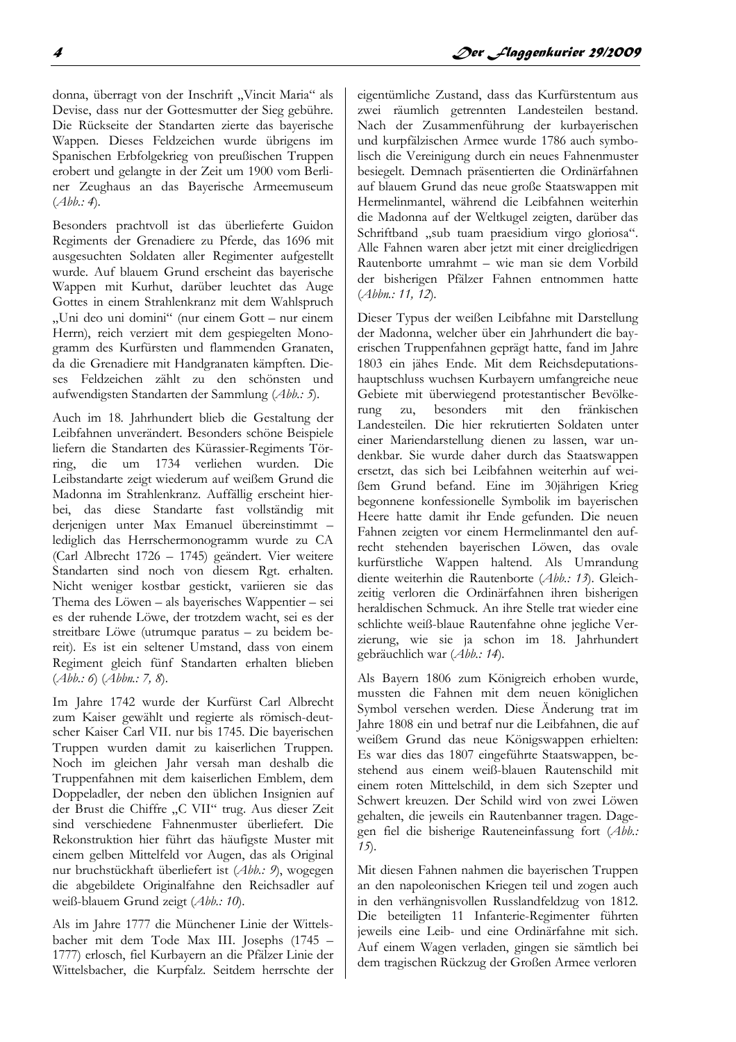donna, überragt von der Inschrift "Vincit Maria" als Devise, dass nur der Gottesmutter der Sieg gebühre. Die Rückseite der Standarten zierte das bayerische Wappen. Dieses Feldzeichen wurde übrigens im Spanischen Erbfolgekrieg von preußischen Truppen erobert und gelangte in der Zeit um 1900 vom Berliner Zeughaus an das Bayerische Armeemuseum  $(Abb:4).$ 

Besonders prachtvoll ist das überlieferte Guidon Regiments der Grenadiere zu Pferde, das 1696 mit ausgesuchten Soldaten aller Regimenter aufgestellt wurde. Auf blauem Grund erscheint das bayerische Wappen mit Kurhut, darüber leuchtet das Auge Gottes in einem Strahlenkranz mit dem Wahlspruch "Uni deo uni domini" (nur einem Gott - nur einem Herrn), reich verziert mit dem gespiegelten Monogramm des Kurfürsten und flammenden Granaten, da die Grenadiere mit Handgranaten kämpften. Dieses Feldzeichen zählt zu den schönsten und aufwendigsten Standarten der Sammlung (Abb.: 5).

Auch im 18. Jahrhundert blieb die Gestaltung der Leibfahnen unverändert. Besonders schöne Beispiele liefern die Standarten des Kürassier-Regiments Törring, die um 1734 verliehen wurden. Die Leibstandarte zeigt wiederum auf weißem Grund die Madonna im Strahlenkranz. Auffällig erscheint hierbei, das diese Standarte fast vollständig mit derjenigen unter Max Emanuel übereinstimmt lediglich das Herrschermonogramm wurde zu CA (Carl Albrecht 1726 - 1745) geändert. Vier weitere Standarten sind noch von diesem Rgt. erhalten. Nicht weniger kostbar gestickt, variieren sie das Thema des Löwen - als bayerisches Wappentier - sei es der ruhende Löwe, der trotzdem wacht, sei es der streitbare Löwe (utrumque paratus - zu beidem bereit). Es ist ein seltener Umstand, dass von einem Regiment gleich fünf Standarten erhalten blieben  $(Abb: 6)$  (Abbn.: 7, 8).

Im Jahre 1742 wurde der Kurfürst Carl Albrecht zum Kaiser gewählt und regierte als römisch-deutscher Kaiser Carl VII. nur bis 1745. Die bayerischen Truppen wurden damit zu kaiserlichen Truppen. Noch im gleichen Jahr versah man deshalb die Truppenfahnen mit dem kaiserlichen Emblem, dem Doppeladler, der neben den üblichen Insignien auf der Brust die Chiffre "C VII" trug. Aus dieser Zeit sind verschiedene Fahnenmuster überliefert. Die Rekonstruktion hier führt das häufigste Muster mit einem gelben Mittelfeld vor Augen, das als Original nur bruchstückhaft überliefert ist (Abb.: 9), wogegen die abgebildete Originalfahne den Reichsadler auf weiß-blauem Grund zeigt (Abb.: 10).

Als im Jahre 1777 die Münchener Linie der Wittelsbacher mit dem Tode Max III. Josephs (1745 -1777) erlosch, fiel Kurbayern an die Pfälzer Linie der Wittelsbacher, die Kurpfalz. Seitdem herrschte der

eigentümliche Zustand, dass das Kurfürstentum aus zwei räumlich getrennten Landesteilen bestand. Nach der Zusammenführung der kurbayerischen und kurpfälzischen Armee wurde 1786 auch symbolisch die Vereinigung durch ein neues Fahnenmuster besiegelt. Demnach präsentierten die Ordinärfahnen auf blauem Grund das neue große Staatswappen mit Hermelinmantel, während die Leibfahnen weiterhin die Madonna auf der Weltkugel zeigten, darüber das Schriftband "sub tuam praesidium virgo gloriosa". Alle Fahnen waren aber jetzt mit einer dreigliedrigen Rautenborte umrahmt - wie man sie dem Vorbild der bisherigen Pfälzer Fahnen entnommen hatte  $(Abbn: 11, 12).$ 

Dieser Typus der weißen Leibfahne mit Darstellung der Madonna, welcher über ein Jahrhundert die bayerischen Truppenfahnen geprägt hatte, fand im Jahre 1803 ein jähes Ende. Mit dem Reichsdeputationshauptschluss wuchsen Kurbayern umfangreiche neue Gebiete mit überwiegend protestantischer Bevölkemit den fränkischen zu. besonders rung Landesteilen. Die hier rekrutierten Soldaten unter einer Mariendarstellung dienen zu lassen, war undenkbar. Sie wurde daher durch das Staatswappen ersetzt, das sich bei Leibfahnen weiterhin auf weißem Grund befand. Eine im 30jährigen Krieg begonnene konfessionelle Symbolik im bayerischen Heere hatte damit ihr Ende gefunden. Die neuen Fahnen zeigten vor einem Hermelinmantel den aufrecht stehenden bayerischen Löwen, das ovale kurfürstliche Wappen haltend. Als Umrandung diente weiterhin die Rautenborte (Abb.: 13). Gleichzeitig verloren die Ordinärfahnen ihren bisherigen heraldischen Schmuck. An ihre Stelle trat wieder eine schlichte weiß-blaue Rautenfahne ohne jegliche Verzierung, wie sie ja schon im 18. Jahrhundert gebräuchlich war (Abb.: 14).

Als Bayern 1806 zum Königreich erhoben wurde, mussten die Fahnen mit dem neuen königlichen Symbol versehen werden. Diese Änderung trat im Jahre 1808 ein und betraf nur die Leibfahnen, die auf weißem Grund das neue Königswappen erhielten: Es war dies das 1807 eingeführte Staatswappen, bestehend aus einem weiß-blauen Rautenschild mit einem roten Mittelschild, in dem sich Szepter und Schwert kreuzen. Der Schild wird von zwei Löwen gehalten, die jeweils ein Rautenbanner tragen. Dagegen fiel die bisherige Rauteneinfassung fort (Abb.:  $15$ .

Mit diesen Fahnen nahmen die bayerischen Truppen an den napoleonischen Kriegen teil und zogen auch in den verhängnisvollen Russlandfeldzug von 1812. Die beteiligten 11 Infanterie-Regimenter führten jeweils eine Leib- und eine Ordinärfahne mit sich. Auf einem Wagen verladen, gingen sie sämtlich bei dem tragischen Rückzug der Großen Armee verloren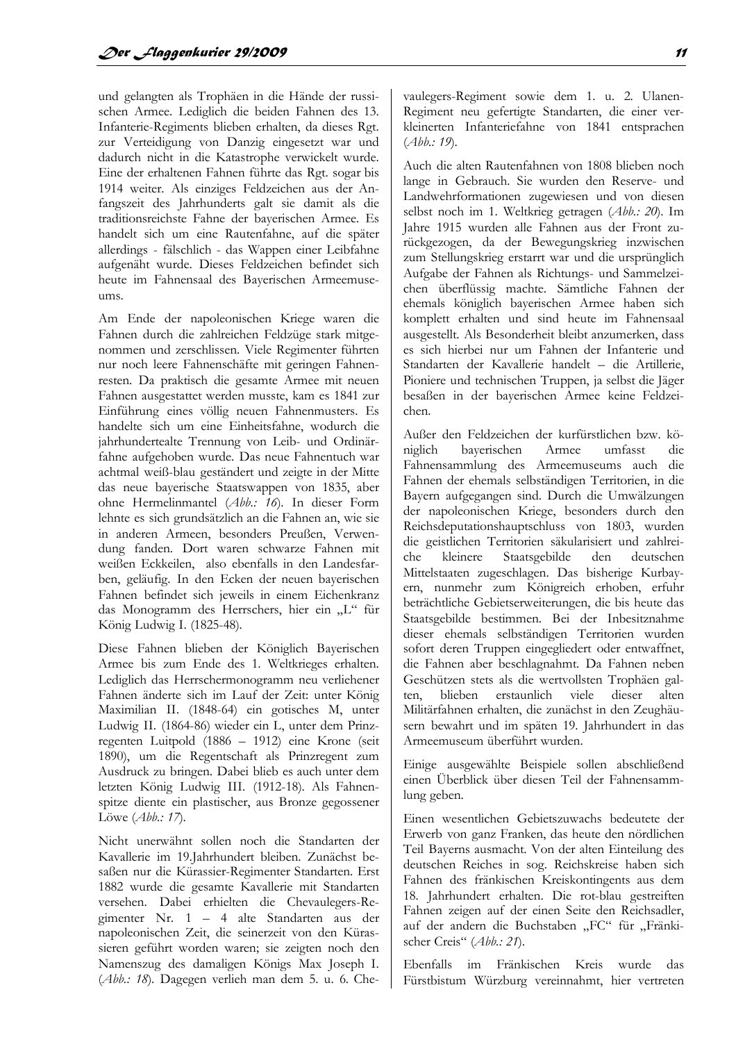und gelangten als Trophäen in die Hände der russischen Armee. Lediglich die beiden Fahnen des 13. Infanterie-Regiments blieben erhalten, da dieses Rgt. zur Verteidigung von Danzig eingesetzt war und dadurch nicht in die Katastrophe verwickelt wurde. Eine der erhaltenen Fahnen führte das Rgt. sogar bis 1914 weiter. Als einziges Feldzeichen aus der Anfangszeit des Jahrhunderts galt sie damit als die traditionsreichste Fahne der baverischen Armee. Es handelt sich um eine Rautenfahne, auf die später allerdings - fälschlich - das Wappen einer Leibfahne aufgenäht wurde. Dieses Feldzeichen befindet sich heute im Fahnensaal des Bayerischen Armeemuseums.

Am Ende der napoleonischen Kriege waren die Fahnen durch die zahlreichen Feldzüge stark mitgenommen und zerschlissen. Viele Regimenter führten nur noch leere Fahnenschäfte mit geringen Fahnenresten. Da praktisch die gesamte Armee mit neuen Fahnen ausgestattet werden musste, kam es 1841 zur Einführung eines völlig neuen Fahnenmusters. Es handelte sich um eine Einheitsfahne, wodurch die jahrhundertealte Trennung von Leib- und Ordinärfahne aufgehoben wurde. Das neue Fahnentuch war achtmal weiß-blau geständert und zeigte in der Mitte das neue bayerische Staatswappen von 1835, aber ohne Hermelinmantel (Abb.: 16). In dieser Form lehnte es sich grundsätzlich an die Fahnen an, wie sie in anderen Armeen, besonders Preußen, Verwendung fanden. Dort waren schwarze Fahnen mit weißen Eckkeilen, also ebenfalls in den Landesfarben, geläufig. In den Ecken der neuen bayerischen Fahnen befindet sich jeweils in einem Eichenkranz das Monogramm des Herrschers, hier ein "L" für König Ludwig I. (1825-48).

Diese Fahnen blieben der Königlich Bayerischen Armee bis zum Ende des 1. Weltkrieges erhalten. Lediglich das Herrschermonogramm neu verliehener Fahnen änderte sich im Lauf der Zeit: unter König Maximilian II. (1848-64) ein gotisches M, unter Ludwig II. (1864-86) wieder ein L, unter dem Prinzregenten Luitpold (1886 – 1912) eine Krone (seit 1890), um die Regentschaft als Prinzregent zum Ausdruck zu bringen. Dabei blieb es auch unter dem letzten König Ludwig III. (1912-18). Als Fahnenspitze diente ein plastischer, aus Bronze gegossener Löwe (Abb.: 17).

Nicht unerwähnt sollen noch die Standarten der Kavallerie im 19.Jahrhundert bleiben. Zunächst besaßen nur die Kürassier-Regimenter Standarten. Erst 1882 wurde die gesamte Kavallerie mit Standarten versehen. Dabei erhielten die Chevaulegers-Regimenter Nr. 1 - 4 alte Standarten aus der napoleonischen Zeit, die seinerzeit von den Kürassieren geführt worden waren; sie zeigten noch den Namenszug des damaligen Königs Max Joseph I. (Abb.: 18). Dagegen verlieh man dem 5. u. 6. Che-

vaulegers-Regiment sowie dem 1. u. 2. Ulanen-Regiment neu gefertigte Standarten, die einer verkleinerten Infanteriefahne von 1841 entsprachen  $(Abb: 19).$ 

Auch die alten Rautenfahnen von 1808 blieben noch lange in Gebrauch. Sie wurden den Reserve- und Landwehrformationen zugewiesen und von diesen selbst noch im 1. Weltkrieg getragen (Abb.: 20). Im Jahre 1915 wurden alle Fahnen aus der Front zurückgezogen, da der Bewegungskrieg inzwischen zum Stellungskrieg erstarrt war und die ursprünglich Aufgabe der Fahnen als Richtungs- und Sammelzeichen überflüssig machte. Sämtliche Fahnen der ehemals königlich bayerischen Armee haben sich komplett erhalten und sind heute im Fahnensaal ausgestellt. Als Besonderheit bleibt anzumerken, dass es sich hierbei nur um Fahnen der Infanterie und Standarten der Kavallerie handelt – die Artillerie. Pioniere und technischen Truppen, ja selbst die Jäger besaßen in der bayerischen Armee keine Feldzeichen.

Außer den Feldzeichen der kurfürstlichen bzw. köbaverischen Armee umfasst niglich die Fahnensammlung des Armeemuseums auch die Fahnen der ehemals selbständigen Territorien, in die Bayern aufgegangen sind. Durch die Umwälzungen der napoleonischen Kriege, besonders durch den Reichsdeputationshauptschluss von 1803, wurden die geistlichen Territorien säkularisiert und zahlreikleinere  $che$ Staatsgebilde den deutschen Mittelstaaten zugeschlagen. Das bisherige Kurbayern, nunmehr zum Königreich erhoben, erfuhr beträchtliche Gebietserweiterungen, die bis heute das Staatsgebilde bestimmen. Bei der Inbesitznahme dieser ehemals selbständigen Territorien wurden sofort deren Truppen eingegliedert oder entwaffnet, die Fahnen aber beschlagnahmt. Da Fahnen neben Geschützen stets als die wertvollsten Trophäen galten. blieben erstaunlich viele dieser alten Militärfahnen erhalten, die zunächst in den Zeughäusern bewahrt und im späten 19. Jahrhundert in das Armeemuseum überführt wurden.

Einige ausgewählte Beispiele sollen abschließend einen Überblick über diesen Teil der Fahnensammlung geben.

Einen wesentlichen Gebietszuwachs bedeutete der Erwerb von ganz Franken, das heute den nördlichen Teil Bayerns ausmacht. Von der alten Einteilung des deutschen Reiches in sog. Reichskreise haben sich Fahnen des fränkischen Kreiskontingents aus dem 18. Jahrhundert erhalten. Die rot-blau gestreiften Fahnen zeigen auf der einen Seite den Reichsadler, auf der andern die Buchstaben "FC" für "Fränkischer Creis" (Abb.: 21).

Ebenfalls im Fränkischen Kreis wurde das Fürstbistum Würzburg vereinnahmt, hier vertreten